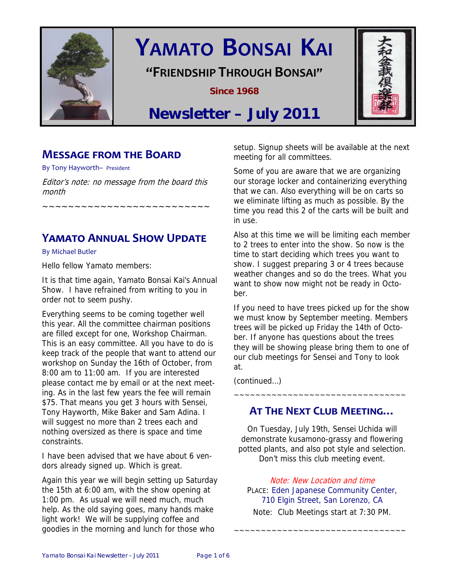

# **YAMATO BONSAI KAI**

**"FRIENDSHIP THROUGH BONSAI"**

**Since 1968** 



## **Newsletter – July 2011**

## **MESSAGE FROM THE BOARD**

By Tony Hayworth– President

Editor's note: no message from the board this month

~~~~~~~~~~~~~~~~~~~~~~~~~~

**YAMATO ANNUAL SHOW UPDATE** 

By Michael Butler

Hello fellow Yamato members:

It is that time again, Yamato Bonsai Kai's Annual Show. I have refrained from writing to you in order not to seem pushy.

Everything seems to be coming together well this year. All the committee chairman positions are filled except for one, Workshop Chairman. This is an easy committee. All you have to do is keep track of the people that want to attend our workshop on Sunday the 16th of October, from 8:00 am to 11:00 am. If you are interested please contact me by email or at the next meeting. As in the last few years the fee will remain \$75. That means you get 3 hours with Sensei, Tony Hayworth, Mike Baker and Sam Adina. I will suggest no more than 2 trees each and nothing oversized as there is space and time constraints.

I have been advised that we have about 6 vendors already signed up. Which is great.

Again this year we will begin setting up Saturday the 15th at 6:00 am, with the show opening at 1:00 pm. As usual we will need much, much help. As the old saying goes, many hands make light work! We will be supplying coffee and goodies in the morning and lunch for those who

setup. Signup sheets will be available at the next meeting for all committees.

Some of you are aware that we are organizing our storage locker and containerizing everything that we can. Also everything will be on carts so we eliminate lifting as much as possible. By the time you read this 2 of the carts will be built and in use.

Also at this time we will be limiting each member to 2 trees to enter into the show. So now is the time to start deciding which trees you want to show. I suggest preparing 3 or 4 trees because weather changes and so do the trees. What you want to show now might not be ready in October.

If you need to have trees picked up for the show we must know by September meeting. Members trees will be picked up Friday the 14th of October. If anyone has questions about the trees they will be showing please bring them to one of our club meetings for Sensei and Tony to look at.

(continued…)

## **AT THE NEXT CLUB MEETING…**

~~~~~~~~~~~~~~~~~~~~~~~~~~~~~~~~

On Tuesday, July 19th, Sensei Uchida will demonstrate kusamono-grassy and flowering potted plants, and also pot style and selection. Don't miss this club meeting event.

Note: New Location and time PLACE: Eden Japanese Community Center, 710 Elgin Street, San Lorenzo, CA Note: Club Meetings start at 7:30 PM.

~~~~~~~~~~~~~~~~~~~~~~~~~~~~~~~~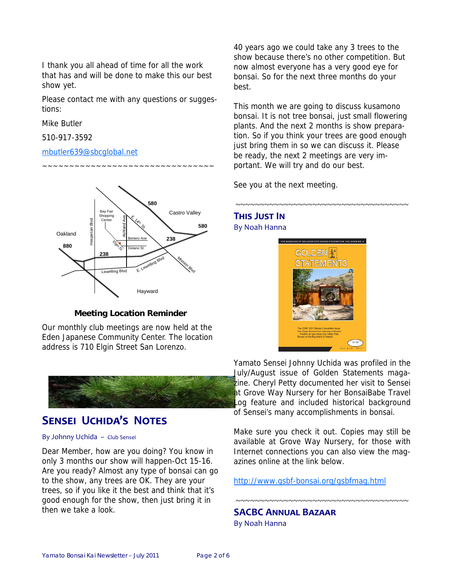I thank you all ahead of time for all the work that has and will be done to make this our best show yet.

Please contact me with any questions or suggestions:

~~~~~~~~~~~~~~~~~~~~~~~~~~~~~~~~

Mike Butler

510-917-3592

#### mbutler639@sbcglobal.net



#### **Meeting Location Reminder**

Our monthly club meetings are now held at the Eden Japanese Community Center. The location address is 710 Elgin Street San Lorenzo.



## **SENSEI UCHIDA'S NOTES**

#### By Johnny Uchida – Club Sensei

Dear Member, how are you doing? You know in only 3 months our show will happen-Oct 15-16. Are you ready? Almost any type of bonsai can go to the show, any trees are OK. They are your trees, so if you like it the best and think that it's good enough for the show, then just bring it in then we take a look.

40 years ago we could take any 3 trees to the show because there's no other competition. But now almost everyone has a very good eye for bonsai. So for the next three months do your best.

This month we are going to discuss kusamono bonsai. It is not tree bonsai, just small flowering plants. And the next 2 months is show preparation. So if you think your trees are good enough just bring them in so we can discuss it. Please be ready, the next 2 meetings are very important. We will try and do our best.

~~~~~~~~~~~~~~~~~~~~~~~~~~~~~~~~~~~~~

See you at the next meeting.

#### **THIS JUST IN** By Noah Hanna



Yamato Sensei Johnny Uchida was profiled in the July/August issue of Golden Statements magazine. Cheryl Petty documented her visit to Sensei at Grove Way Nursery for her BonsaiBabe Travel Log feature and included historical background of Sensei's many accomplishments in bonsai.

Make sure you check it out. Copies may still be available at Grove Way Nursery, for those with Internet connections you can also view the magazines online at the link below.

~~~~~~~~~~~~~~~~~~~~~~~~~~~~~~~~~~~~~

http://www.gsbf-bonsai.org/gsbfmag.html

**SACBC ANNUAL BAZAAR** By Noah Hanna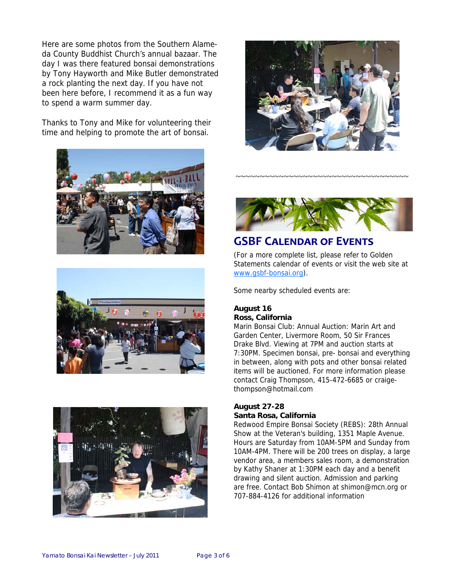Here are some photos from the Southern Alameda County Buddhist Church's annual bazaar. The day I was there featured bonsai demonstrations by Tony Hayworth and Mike Butler demonstrated a rock planting the next day. If you have not been here before, I recommend it as a fun way to spend a warm summer day.

Thanks to Tony and Mike for volunteering their time and helping to promote the art of bonsai.











~~~~~~~~~~~~~~~~~~~~~~~~~~~~~~~~~~~~

## **GSBF CALENDAR OF EVENTS**

(For a more complete list, please refer to Golden Statements calendar of events or visit the web site at www.gsbf-bonsai.org).

Some nearby scheduled events are:

#### **August 16 Ross, California**

Marin Bonsai Club: Annual Auction: Marin Art and Garden Center, Livermore Room, 50 Sir Frances Drake Blvd. Viewing at 7PM and auction starts at 7:30PM. Specimen bonsai, pre- bonsai and everything in between, along with pots and other bonsai related items will be auctioned. For more information please contact Craig Thompson, 415-472-6685 or craigethompson@hotmail.com

#### **August 27-28 Santa Rosa, California**

Redwood Empire Bonsai Society (REBS): 28th Annual Show at the Veteran's building, 1351 Maple Avenue. Hours are Saturday from 10AM-5PM and Sunday from 10AM-4PM. There will be 200 trees on display, a large vendor area, a members sales room, a demonstration by Kathy Shaner at 1:30PM each day and a benefit drawing and silent auction. Admission and parking are free. Contact Bob Shimon at shimon@mcn.org or 707-884-4126 for additional information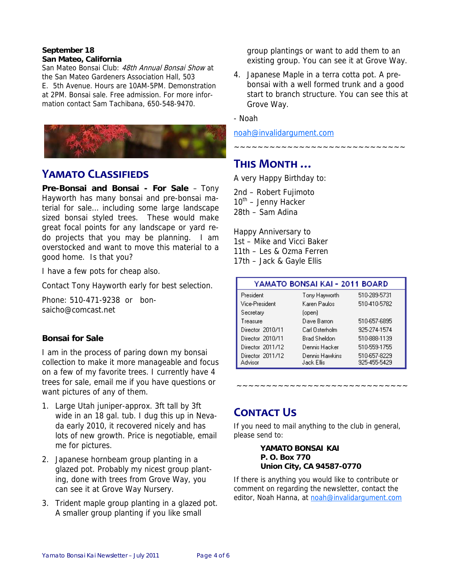#### **September 18 San Mateo, California**

San Mateo Bonsai Club: 48th Annual Bonsai Show at the San Mateo Gardeners Association Hall, 503 E. 5th Avenue. Hours are 10AM-5PM. Demonstration at 2PM. Bonsai sale. Free admission. For more information contact Sam Tachibana, 650-548-9470.



## **YAMATO CLASSIFIEDS**

**Pre-Bonsai and Bonsai - For Sale** – Tony Hayworth has many bonsai and pre-bonsai material for sale… including some large landscape sized bonsai styled trees. These would make great focal points for any landscape or yard redo projects that you may be planning. I am overstocked and want to move this material to a good home. Is that you?

I have a few pots for cheap also.

Contact Tony Hayworth early for best selection.

Phone: 510-471-9238 or bonsaicho@comcast.net

#### **Bonsai for Sale**

I am in the process of paring down my bonsai collection to make it more manageable and focus on a few of my favorite trees. I currently have 4 trees for sale, email me if you have questions or want pictures of any of them.

- 1. Large Utah juniper-approx. 3ft tall by 3ft wide in an 18 gal. tub. I dug this up in Nevada early 2010, it recovered nicely and has lots of new growth. Price is negotiable, email me for pictures.
- 2. Japanese hornbeam group planting in a glazed pot. Probably my nicest group planting, done with trees from Grove Way, you can see it at Grove Way Nursery.
- 3. Trident maple group planting in a glazed pot. A smaller group planting if you like small

group plantings or want to add them to an existing group. You can see it at Grove Way.

4. Japanese Maple in a terra cotta pot. A prebonsai with a well formed trunk and a good start to branch structure. You can see this at Grove Way.

~~~~~~~~~~~~~~~~~~~~~~~~~~~~~

- Noah

noah@invalidargument.com

## **THIS MONTH …**

A very Happy Birthday to:

2nd – Robert Fujimoto  $10^{th}$  – Jenny Hacker 28th – Sam Adina

Happy Anniversary to 1st – Mike and Vicci Baker 11th – Les & Ozma Ferren 17th – Jack & Gayle Ellis

| YAMATO BONSAI KAI - 2011 BOARD |                              |                              |
|--------------------------------|------------------------------|------------------------------|
| President                      | Tony Hayworth                | 510-289-5731                 |
| Vice-President                 | Karen Paulos                 | 510-410-5782                 |
| Secretary                      | (open)                       |                              |
| Treasure                       | Dave Barron                  | 510-657-6895                 |
| Director 2010/11               | Carl Osterholm               | 925-274-1574                 |
| Director 2010/11               | Brad Sheldon                 | 510-888-1139                 |
| Director 2011/12               | Dennis Hacker                | 510-559-1755                 |
| Director 2011/12<br>Advisor    | Dennis Hawkins<br>Jack Ellis | 510-657-8229<br>925-455-5429 |

~~~~~~~~~~~~~~~~~~~~~~~~~~~~~

## **CONTACT US**

If you need to mail anything to the club in general, please send to:

> **YAMATO BONSAI KAI P. O. Box 770 Union City, CA 94587-0770**

If there is anything you would like to contribute or comment on regarding the newsletter, contact the editor, Noah Hanna, at noah@invalidargument.com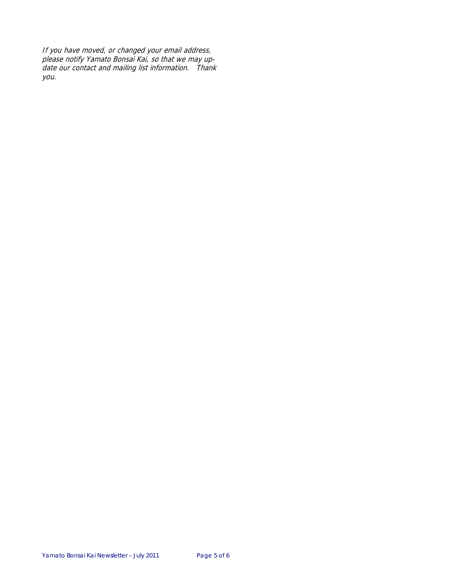If you have moved, or changed your email address, please notify Yamato Bonsai Kai, so that we may update our contact and mailing list information. Thank you.